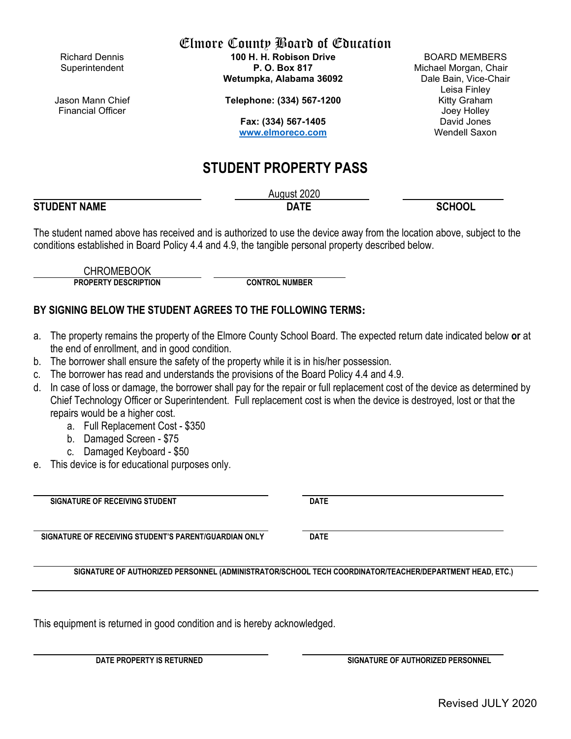Jason Mann Chief Financial Officer

Elmore County Board of Education

Richard Dennis **100 H. H. Robison Drive** BOARD MEMBERS Superintendent **P. O. Box 817** Michael Morgan, Chair Wetumpka, Alabama 36092

**Telephone: (334) 567-1200** Kitty Graham

**Fax: (334) 567-1405** David Jones [www.elmoreco.com](http://www.elmoreco.com/)

# **STUDENT PROPERTY PASS**

August 2020 **STUDENT NAME DATE SCHOOL**

The student named above has received and is authorized to use the device away from the location above, subject to the conditions established in Board Policy 4.4 and 4.9, the tangible personal property described below.

CHROMEBOOK

**PROPERTY DESCRIPTION CONTROL NUMBER**

## **BY SIGNING BELOW THE STUDENT AGREES TO THE FOLLOWING TERMS:**

- a. The property remains the property of the Elmore County School Board. The expected return date indicated below **or** at the end of enrollment, and in good condition.
- b. The borrower shall ensure the safety of the property while it is in his/her possession.
- c. The borrower has read and understands the provisions of the Board Policy 4.4 and 4.9.
- d. In case of loss or damage, the borrower shall pay for the repair or full replacement cost of the device as determined by Chief Technology Officer or Superintendent. Full replacement cost is when the device is destroyed, lost or that the repairs would be a higher cost.
	- a. Full Replacement Cost \$350
	- b. Damaged Screen \$75
	- c. Damaged Keyboard \$50
- e. This device is for educational purposes only.

**SIGNATURE OF RECEIVING STUDENT DATE** 

**SIGNATURE OF RECEIVING STUDENT'S PARENT/GUARDIAN ONLY DATE** 

**SIGNATURE OF AUTHORIZED PERSONNEL (ADMINISTRATOR/SCHOOL TECH COORDINATOR/TEACHER/DEPARTMENT HEAD, ETC.)**

This equipment is returned in good condition and is hereby acknowledged.

**DATE PROPERTY IS RETURNED SIGNATURE OF AUTHORIZED PERSONNEL**

Revised JULY 2020

Leisa Finley Joey Holley